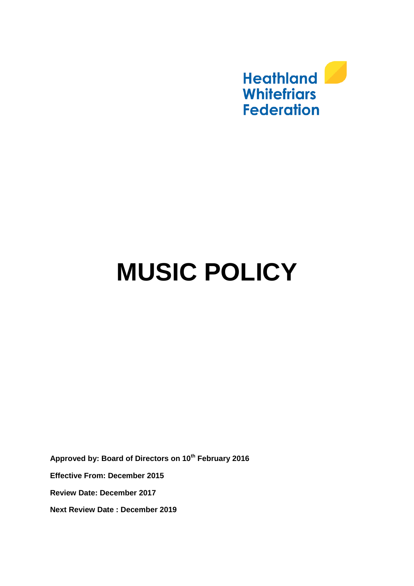

# **MUSIC POLICY**

**Approved by: Board of Directors on 10th February 2016 Effective From: December 2015 Review Date: December 2017 Next Review Date : December 2019**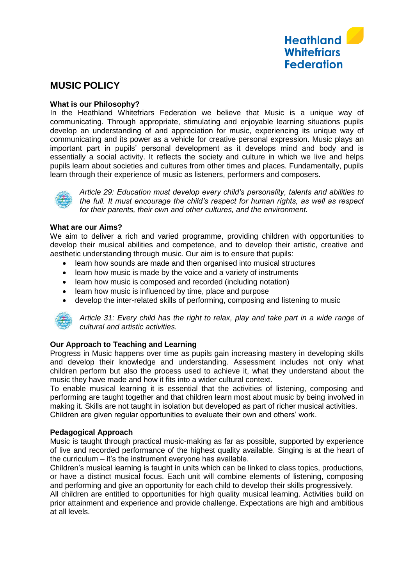

## **MUSIC POLICY**

#### **What is our Philosophy?**

In the Heathland Whitefriars Federation we believe that Music is a unique way of communicating. Through appropriate, stimulating and enjoyable learning situations pupils develop an understanding of and appreciation for music, experiencing its unique way of communicating and its power as a vehicle for creative personal expression. Music plays an important part in pupils' personal development as it develops mind and body and is essentially a social activity. It reflects the society and culture in which we live and helps pupils learn about societies and cultures from other times and places. Fundamentally, pupils learn through their experience of music as listeners, performers and composers.



*Article 29: Education must develop every child's personality, talents and abilities to the full. It must encourage the child's respect for human rights, as well as respect for their parents, their own and other cultures, and the environment.*

#### **What are our Aims?**

We aim to deliver a rich and varied programme, providing children with opportunities to develop their musical abilities and competence, and to develop their artistic, creative and aesthetic understanding through music. Our aim is to ensure that pupils:

- learn how sounds are made and then organised into musical structures
- learn how music is made by the voice and a variety of instruments
- learn how music is composed and recorded (including notation)
- learn how music is influenced by time, place and purpose
- develop the inter-related skills of performing, composing and listening to music



*Article 31: Every child has the right to relax, play and take part in a wide range of cultural and artistic activities.*

### **Our Approach to Teaching and Learning**

Progress in Music happens over time as pupils gain increasing mastery in developing skills and develop their knowledge and understanding. Assessment includes not only what children perform but also the process used to achieve it, what they understand about the music they have made and how it fits into a wider cultural context.

To enable musical learning it is essential that the activities of listening, composing and performing are taught together and that children learn most about music by being involved in making it. Skills are not taught in isolation but developed as part of richer musical activities. Children are given regular opportunities to evaluate their own and others' work.

#### **Pedagogical Approach**

Music is taught through practical music-making as far as possible, supported by experience of live and recorded performance of the highest quality available. Singing is at the heart of the curriculum – it's the instrument everyone has available.

Children's musical learning is taught in units which can be linked to class topics, productions, or have a distinct musical focus. Each unit will combine elements of listening, composing and performing and give an opportunity for each child to develop their skills progressively.

All children are entitled to opportunities for high quality musical learning. Activities build on prior attainment and experience and provide challenge. Expectations are high and ambitious at all levels.